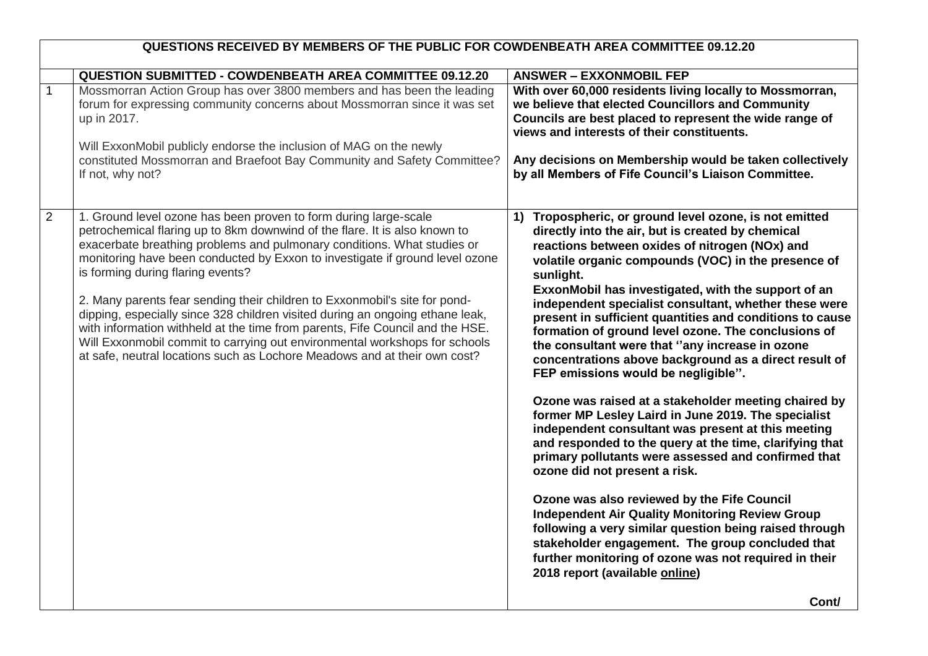| <b>QUESTION SUBMITTED - COWDENBEATH AREA COMMITTEE 09.12.20</b><br><b>ANSWER - EXXONMOBIL FEP</b><br>$\overline{1}$<br>Mossmorran Action Group has over 3800 members and has been the leading<br>forum for expressing community concerns about Mossmorran since it was set<br>we believe that elected Councillors and Community<br>up in 2017.<br>views and interests of their constituents.<br>Will ExxonMobil publicly endorse the inclusion of MAG on the newly<br>constituted Mossmorran and Braefoot Bay Community and Safety Committee?<br>If not, why not?<br>$\overline{2}$<br>1. Ground level ozone has been proven to form during large-scale<br>$\left( \mathbf{1}\right)$<br>petrochemical flaring up to 8km downwind of the flare. It is also known to<br>directly into the air, but is created by chemical<br>exacerbate breathing problems and pulmonary conditions. What studies or<br>reactions between oxides of nitrogen (NOx) and<br>monitoring have been conducted by Exxon to investigate if ground level ozone<br>is forming during flaring events?<br>sunlight.<br>2. Many parents fear sending their children to Exxonmobil's site for pond-<br>dipping, especially since 328 children visited during an ongoing ethane leak,<br>with information withheld at the time from parents, Fife Council and the HSE.<br>Will Exxonmobil commit to carrying out environmental workshops for schools<br>the consultant were that "any increase in ozone<br>at safe, neutral locations such as Lochore Meadows and at their own cost?<br>FEP emissions would be negligible".<br>ozone did not present a risk.<br>Ozone was also reviewed by the Fife Council<br>2018 report (available online) | QUESTIONS RECEIVED BY MEMBERS OF THE PUBLIC FOR COWDENBEATH AREA COMMITTEE 09.12.20 |                                                                                                                                                                                                                                                                                                                                                                                                                                                                                                                                                                                                                                                                                                                                                                                                                                                                                                                                         |
|----------------------------------------------------------------------------------------------------------------------------------------------------------------------------------------------------------------------------------------------------------------------------------------------------------------------------------------------------------------------------------------------------------------------------------------------------------------------------------------------------------------------------------------------------------------------------------------------------------------------------------------------------------------------------------------------------------------------------------------------------------------------------------------------------------------------------------------------------------------------------------------------------------------------------------------------------------------------------------------------------------------------------------------------------------------------------------------------------------------------------------------------------------------------------------------------------------------------------------------------------------------------------------------------------------------------------------------------------------------------------------------------------------------------------------------------------------------------------------------------------------------------------------------------------------------------------------------------------------------------------------------------------------------------------------------------------------------|-------------------------------------------------------------------------------------|-----------------------------------------------------------------------------------------------------------------------------------------------------------------------------------------------------------------------------------------------------------------------------------------------------------------------------------------------------------------------------------------------------------------------------------------------------------------------------------------------------------------------------------------------------------------------------------------------------------------------------------------------------------------------------------------------------------------------------------------------------------------------------------------------------------------------------------------------------------------------------------------------------------------------------------------|
|                                                                                                                                                                                                                                                                                                                                                                                                                                                                                                                                                                                                                                                                                                                                                                                                                                                                                                                                                                                                                                                                                                                                                                                                                                                                                                                                                                                                                                                                                                                                                                                                                                                                                                                |                                                                                     |                                                                                                                                                                                                                                                                                                                                                                                                                                                                                                                                                                                                                                                                                                                                                                                                                                                                                                                                         |
|                                                                                                                                                                                                                                                                                                                                                                                                                                                                                                                                                                                                                                                                                                                                                                                                                                                                                                                                                                                                                                                                                                                                                                                                                                                                                                                                                                                                                                                                                                                                                                                                                                                                                                                |                                                                                     | With over 60,000 residents living locally to Mossmorran,<br>Councils are best placed to represent the wide range of<br>Any decisions on Membership would be taken collectively<br>by all Members of Fife Council's Liaison Committee.                                                                                                                                                                                                                                                                                                                                                                                                                                                                                                                                                                                                                                                                                                   |
|                                                                                                                                                                                                                                                                                                                                                                                                                                                                                                                                                                                                                                                                                                                                                                                                                                                                                                                                                                                                                                                                                                                                                                                                                                                                                                                                                                                                                                                                                                                                                                                                                                                                                                                |                                                                                     | Tropospheric, or ground level ozone, is not emitted<br>volatile organic compounds (VOC) in the presence of<br>ExxonMobil has investigated, with the support of an<br>independent specialist consultant, whether these were<br>present in sufficient quantities and conditions to cause<br>formation of ground level ozone. The conclusions of<br>concentrations above background as a direct result of<br>Ozone was raised at a stakeholder meeting chaired by<br>former MP Lesley Laird in June 2019. The specialist<br>independent consultant was present at this meeting<br>and responded to the query at the time, clarifying that<br>primary pollutants were assessed and confirmed that<br><b>Independent Air Quality Monitoring Review Group</b><br>following a very similar question being raised through<br>stakeholder engagement. The group concluded that<br>further monitoring of ozone was not required in their<br>Cont/ |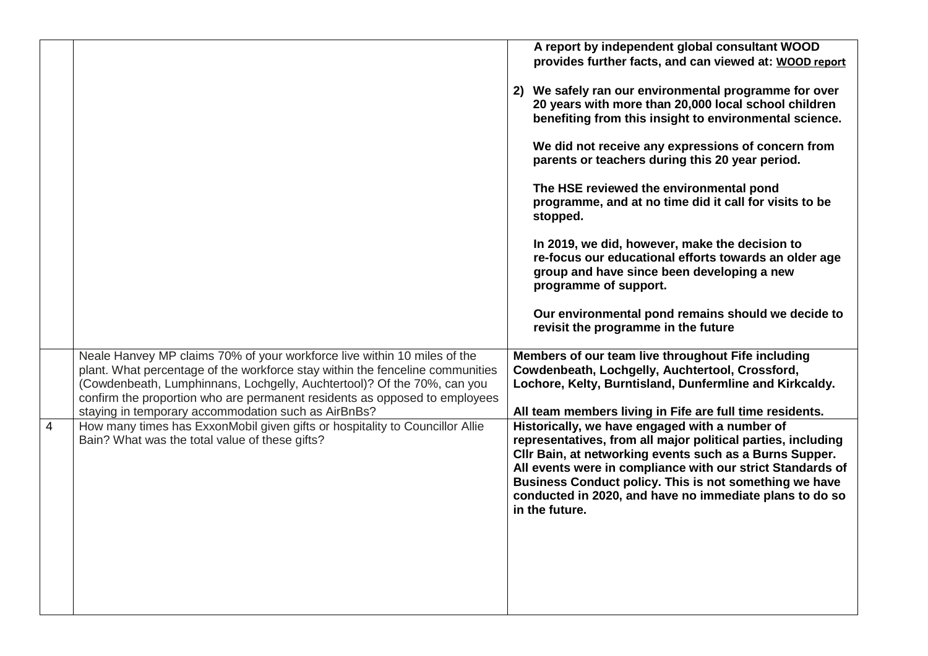|   |                                                                                                                                                                                                                                                                                                                                                                           | A report by independent global consultant WOOD<br>provides further facts, and can viewed at: WOOD report<br>2) We safely ran our environmental programme for over<br>20 years with more than 20,000 local school children<br>benefiting from this insight to environmental science.<br>We did not receive any expressions of concern from<br>parents or teachers during this 20 year period.<br>The HSE reviewed the environmental pond<br>programme, and at no time did it call for visits to be<br>stopped.<br>In 2019, we did, however, make the decision to<br>re-focus our educational efforts towards an older age<br>group and have since been developing a new<br>programme of support.<br>Our environmental pond remains should we decide to<br>revisit the programme in the future |
|---|---------------------------------------------------------------------------------------------------------------------------------------------------------------------------------------------------------------------------------------------------------------------------------------------------------------------------------------------------------------------------|----------------------------------------------------------------------------------------------------------------------------------------------------------------------------------------------------------------------------------------------------------------------------------------------------------------------------------------------------------------------------------------------------------------------------------------------------------------------------------------------------------------------------------------------------------------------------------------------------------------------------------------------------------------------------------------------------------------------------------------------------------------------------------------------|
|   | Neale Hanvey MP claims 70% of your workforce live within 10 miles of the<br>plant. What percentage of the workforce stay within the fenceline communities<br>(Cowdenbeath, Lumphinnans, Lochgelly, Auchtertool)? Of the 70%, can you<br>confirm the proportion who are permanent residents as opposed to employees<br>staying in temporary accommodation such as AirBnBs? | Members of our team live throughout Fife including<br>Cowdenbeath, Lochgelly, Auchtertool, Crossford,<br>Lochore, Kelty, Burntisland, Dunfermline and Kirkcaldy.<br>All team members living in Fife are full time residents.                                                                                                                                                                                                                                                                                                                                                                                                                                                                                                                                                                 |
| 4 | How many times has ExxonMobil given gifts or hospitality to Councillor Allie<br>Bain? What was the total value of these gifts?                                                                                                                                                                                                                                            | Historically, we have engaged with a number of<br>representatives, from all major political parties, including<br>Cllr Bain, at networking events such as a Burns Supper.<br>All events were in compliance with our strict Standards of<br>Business Conduct policy. This is not something we have<br>conducted in 2020, and have no immediate plans to do so<br>in the future.                                                                                                                                                                                                                                                                                                                                                                                                               |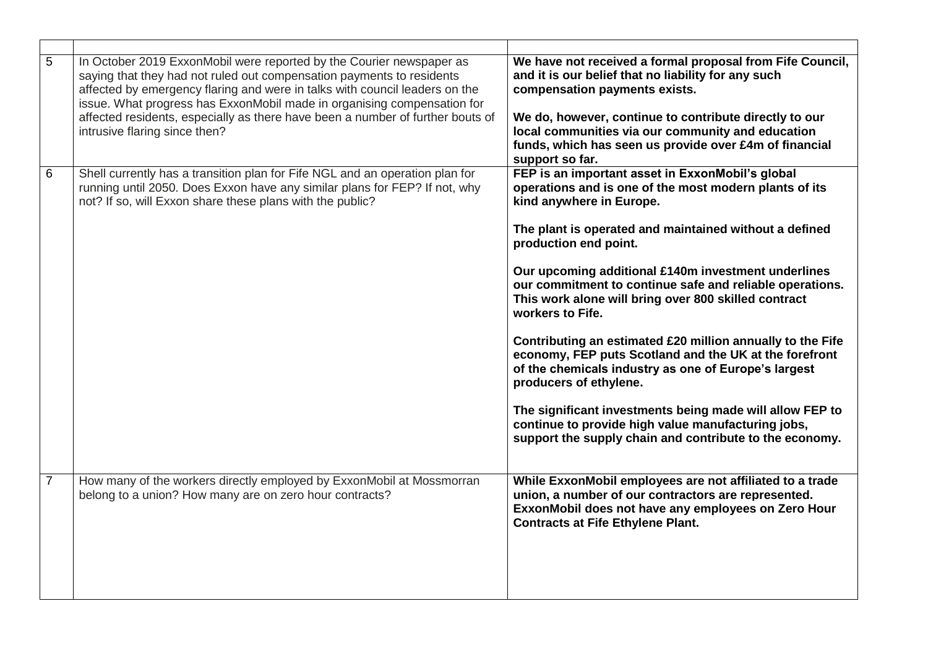| 5              | In October 2019 ExxonMobil were reported by the Courier newspaper as<br>saying that they had not ruled out compensation payments to residents<br>affected by emergency flaring and were in talks with council leaders on the<br>issue. What progress has ExxonMobil made in organising compensation for<br>affected residents, especially as there have been a number of further bouts of<br>intrusive flaring since then? | We have not received a formal proposal from Fife Council,<br>and it is our belief that no liability for any such<br>compensation payments exists.<br>We do, however, continue to contribute directly to our<br>local communities via our community and education<br>funds, which has seen us provide over £4m of financial<br>support so far.                                                                                                                                                                                                                                                                                                                                                                                                                                                                   |
|----------------|----------------------------------------------------------------------------------------------------------------------------------------------------------------------------------------------------------------------------------------------------------------------------------------------------------------------------------------------------------------------------------------------------------------------------|-----------------------------------------------------------------------------------------------------------------------------------------------------------------------------------------------------------------------------------------------------------------------------------------------------------------------------------------------------------------------------------------------------------------------------------------------------------------------------------------------------------------------------------------------------------------------------------------------------------------------------------------------------------------------------------------------------------------------------------------------------------------------------------------------------------------|
| 6              | Shell currently has a transition plan for Fife NGL and an operation plan for<br>running until 2050. Does Exxon have any similar plans for FEP? If not, why<br>not? If so, will Exxon share these plans with the public?                                                                                                                                                                                                    | FEP is an important asset in ExxonMobil's global<br>operations and is one of the most modern plants of its<br>kind anywhere in Europe.<br>The plant is operated and maintained without a defined<br>production end point.<br>Our upcoming additional £140m investment underlines<br>our commitment to continue safe and reliable operations.<br>This work alone will bring over 800 skilled contract<br>workers to Fife.<br>Contributing an estimated £20 million annually to the Fife<br>economy, FEP puts Scotland and the UK at the forefront<br>of the chemicals industry as one of Europe's largest<br>producers of ethylene.<br>The significant investments being made will allow FEP to<br>continue to provide high value manufacturing jobs,<br>support the supply chain and contribute to the economy. |
| $\overline{7}$ | How many of the workers directly employed by ExxonMobil at Mossmorran<br>belong to a union? How many are on zero hour contracts?                                                                                                                                                                                                                                                                                           | While ExxonMobil employees are not affiliated to a trade<br>union, a number of our contractors are represented.<br>ExxonMobil does not have any employees on Zero Hour<br><b>Contracts at Fife Ethylene Plant.</b>                                                                                                                                                                                                                                                                                                                                                                                                                                                                                                                                                                                              |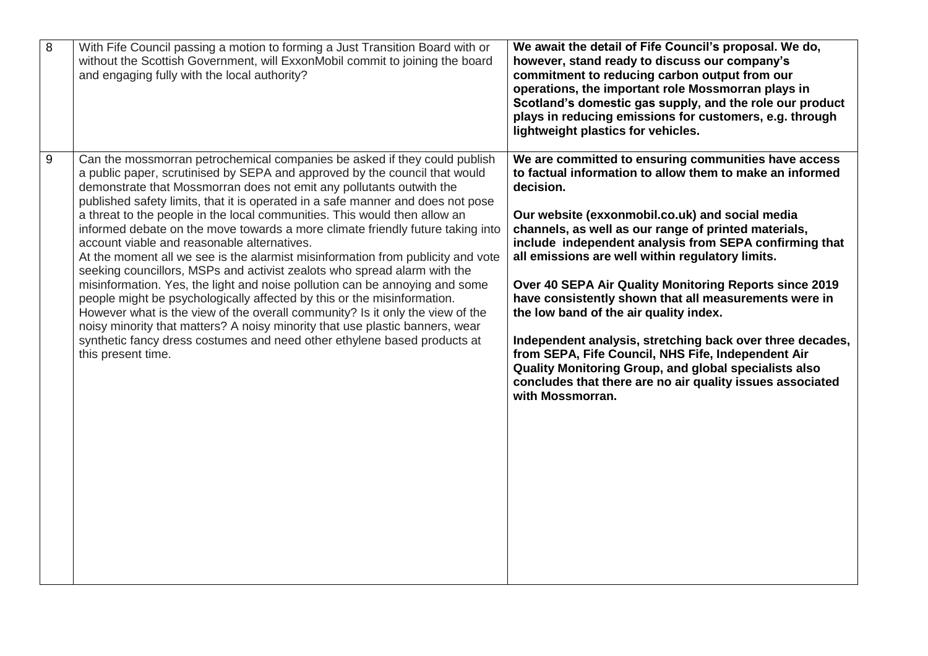| $\infty$       | With Fife Council passing a motion to forming a Just Transition Board with or<br>without the Scottish Government, will ExxonMobil commit to joining the board<br>and engaging fully with the local authority?                                                                                                                                                                                                                                                                                                                                                                                                                                                                                                                                                                                                                                                                                                                                                                                                                                                                                                                | We await the detail of Fife Council's proposal. We do,<br>however, stand ready to discuss our company's<br>commitment to reducing carbon output from our<br>operations, the important role Mossmorran plays in<br>Scotland's domestic gas supply, and the role our product<br>plays in reducing emissions for customers, e.g. through<br>lightweight plastics for vehicles.                                                                                                                                                                                                                                                                                                                                                                                                      |
|----------------|------------------------------------------------------------------------------------------------------------------------------------------------------------------------------------------------------------------------------------------------------------------------------------------------------------------------------------------------------------------------------------------------------------------------------------------------------------------------------------------------------------------------------------------------------------------------------------------------------------------------------------------------------------------------------------------------------------------------------------------------------------------------------------------------------------------------------------------------------------------------------------------------------------------------------------------------------------------------------------------------------------------------------------------------------------------------------------------------------------------------------|----------------------------------------------------------------------------------------------------------------------------------------------------------------------------------------------------------------------------------------------------------------------------------------------------------------------------------------------------------------------------------------------------------------------------------------------------------------------------------------------------------------------------------------------------------------------------------------------------------------------------------------------------------------------------------------------------------------------------------------------------------------------------------|
| $\overline{9}$ | Can the mossmorran petrochemical companies be asked if they could publish<br>a public paper, scrutinised by SEPA and approved by the council that would<br>demonstrate that Mossmorran does not emit any pollutants outwith the<br>published safety limits, that it is operated in a safe manner and does not pose<br>a threat to the people in the local communities. This would then allow an<br>informed debate on the move towards a more climate friendly future taking into<br>account viable and reasonable alternatives.<br>At the moment all we see is the alarmist misinformation from publicity and vote<br>seeking councillors, MSPs and activist zealots who spread alarm with the<br>misinformation. Yes, the light and noise pollution can be annoying and some<br>people might be psychologically affected by this or the misinformation.<br>However what is the view of the overall community? Is it only the view of the<br>noisy minority that matters? A noisy minority that use plastic banners, wear<br>synthetic fancy dress costumes and need other ethylene based products at<br>this present time. | We are committed to ensuring communities have access<br>to factual information to allow them to make an informed<br>decision.<br>Our website (exxonmobil.co.uk) and social media<br>channels, as well as our range of printed materials,<br>include independent analysis from SEPA confirming that<br>all emissions are well within regulatory limits.<br>Over 40 SEPA Air Quality Monitoring Reports since 2019<br>have consistently shown that all measurements were in<br>the low band of the air quality index.<br>Independent analysis, stretching back over three decades,<br>from SEPA, Fife Council, NHS Fife, Independent Air<br>Quality Monitoring Group, and global specialists also<br>concludes that there are no air quality issues associated<br>with Mossmorran. |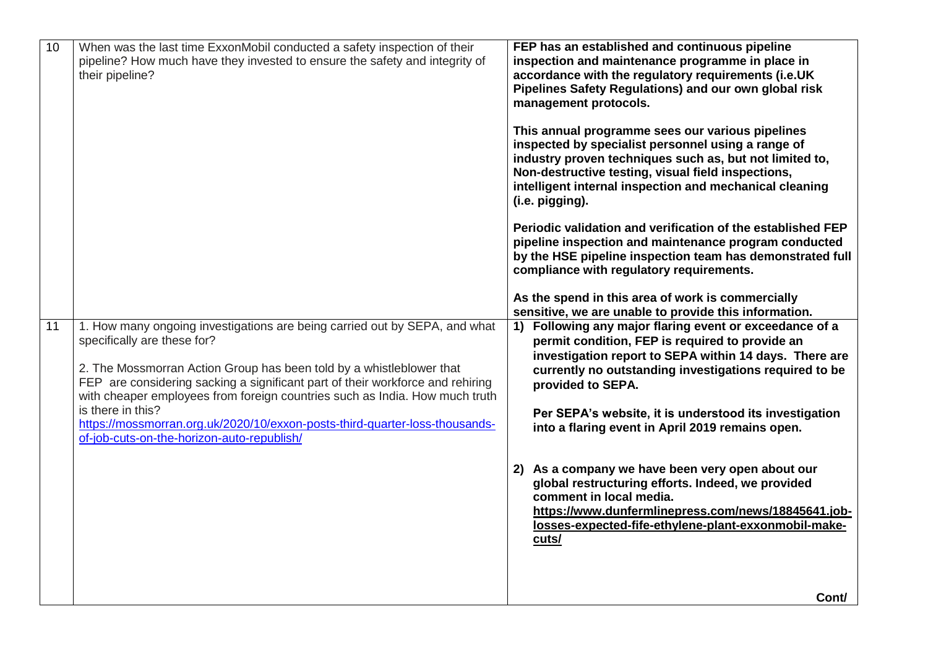| 10 | When was the last time ExxonMobil conducted a safety inspection of their<br>pipeline? How much have they invested to ensure the safety and integrity of<br>their pipeline?                                                                                                                                                                                                                                                                                                                           | FEP has an established and continuous pipeline<br>inspection and maintenance programme in place in<br>accordance with the regulatory requirements (i.e.UK<br>Pipelines Safety Regulations) and our own global risk<br>management protocols.<br>This annual programme sees our various pipelines<br>inspected by specialist personnel using a range of<br>industry proven techniques such as, but not limited to,<br>Non-destructive testing, visual field inspections,<br>intelligent internal inspection and mechanical cleaning<br>(i.e. pigging). |
|----|------------------------------------------------------------------------------------------------------------------------------------------------------------------------------------------------------------------------------------------------------------------------------------------------------------------------------------------------------------------------------------------------------------------------------------------------------------------------------------------------------|------------------------------------------------------------------------------------------------------------------------------------------------------------------------------------------------------------------------------------------------------------------------------------------------------------------------------------------------------------------------------------------------------------------------------------------------------------------------------------------------------------------------------------------------------|
|    |                                                                                                                                                                                                                                                                                                                                                                                                                                                                                                      | Periodic validation and verification of the established FEP<br>pipeline inspection and maintenance program conducted<br>by the HSE pipeline inspection team has demonstrated full<br>compliance with regulatory requirements.<br>As the spend in this area of work is commercially                                                                                                                                                                                                                                                                   |
|    |                                                                                                                                                                                                                                                                                                                                                                                                                                                                                                      | sensitive, we are unable to provide this information.                                                                                                                                                                                                                                                                                                                                                                                                                                                                                                |
| 11 | 1. How many ongoing investigations are being carried out by SEPA, and what<br>specifically are these for?<br>2. The Mossmorran Action Group has been told by a whistleblower that<br>FEP are considering sacking a significant part of their workforce and rehiring<br>with cheaper employees from foreign countries such as India. How much truth<br>is there in this?<br>https://mossmorran.org.uk/2020/10/exxon-posts-third-quarter-loss-thousands-<br>of-job-cuts-on-the-horizon-auto-republish/ | 1) Following any major flaring event or exceedance of a<br>permit condition, FEP is required to provide an<br>investigation report to SEPA within 14 days. There are<br>currently no outstanding investigations required to be<br>provided to SEPA.<br>Per SEPA's website, it is understood its investigation<br>into a flaring event in April 2019 remains open.                                                                                                                                                                                    |
|    |                                                                                                                                                                                                                                                                                                                                                                                                                                                                                                      | 2) As a company we have been very open about our<br>global restructuring efforts. Indeed, we provided<br>comment in local media.<br>https://www.dunfermlinepress.com/news/18845641.job-<br>losses-expected-fife-ethylene-plant-exxonmobil-make-<br>cuts/                                                                                                                                                                                                                                                                                             |
|    |                                                                                                                                                                                                                                                                                                                                                                                                                                                                                                      | Cont/                                                                                                                                                                                                                                                                                                                                                                                                                                                                                                                                                |